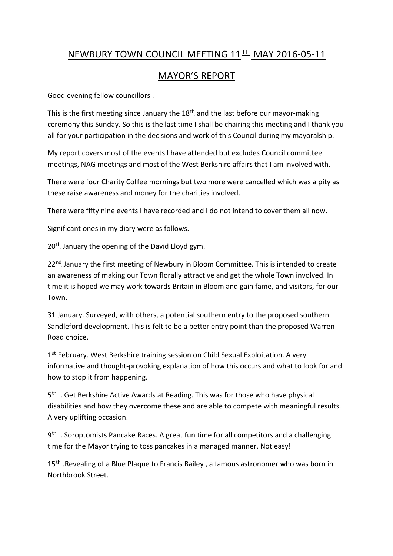## NEWBURY TOWN COUNCIL MEETING 11<sup>TH</sup> MAY 2016-05-11

## MAYOR'S REPORT

Good evening fellow councillors .

This is the first meeting since January the 18<sup>th</sup> and the last before our mayor-making ceremony this Sunday. So this is the last time I shall be chairing this meeting and I thank you all for your participation in the decisions and work of this Council during my mayoralship.

My report covers most of the events I have attended but excludes Council committee meetings, NAG meetings and most of the West Berkshire affairs that I am involved with.

There were four Charity Coffee mornings but two more were cancelled which was a pity as these raise awareness and money for the charities involved.

There were fifty nine events I have recorded and I do not intend to cover them all now.

Significant ones in my diary were as follows.

20<sup>th</sup> January the opening of the David Lloyd gym.

22<sup>nd</sup> January the first meeting of Newbury in Bloom Committee. This is intended to create an awareness of making our Town florally attractive and get the whole Town involved. In time it is hoped we may work towards Britain in Bloom and gain fame, and visitors, for our Town.

31 January. Surveyed, with others, a potential southern entry to the proposed southern Sandleford development. This is felt to be a better entry point than the proposed Warren Road choice.

1st February. West Berkshire training session on Child Sexual Exploitation. A very informative and thought-provoking explanation of how this occurs and what to look for and how to stop it from happening.

5<sup>th</sup>. Get Berkshire Active Awards at Reading. This was for those who have physical disabilities and how they overcome these and are able to compete with meaningful results. A very uplifting occasion.

9<sup>th</sup> . Soroptomists Pancake Races. A great fun time for all competitors and a challenging time for the Mayor trying to toss pancakes in a managed manner. Not easy!

15<sup>th</sup>. Revealing of a Blue Plaque to Francis Bailey, a famous astronomer who was born in Northbrook Street.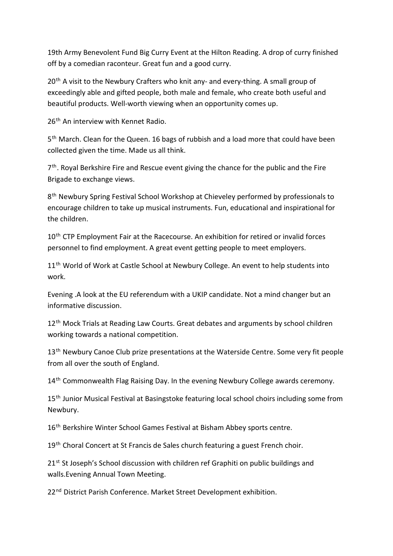19th Army Benevolent Fund Big Curry Event at the Hilton Reading. A drop of curry finished off by a comedian raconteur. Great fun and a good curry.

20<sup>th</sup> A visit to the Newbury Crafters who knit any- and every-thing. A small group of exceedingly able and gifted people, both male and female, who create both useful and beautiful products. Well-worth viewing when an opportunity comes up.

26<sup>th</sup> An interview with Kennet Radio.

5<sup>th</sup> March. Clean for the Queen. 16 bags of rubbish and a load more that could have been collected given the time. Made us all think.

7<sup>th</sup>. Royal Berkshire Fire and Rescue event giving the chance for the public and the Fire Brigade to exchange views.

8<sup>th</sup> Newbury Spring Festival School Workshop at Chieveley performed by professionals to encourage children to take up musical instruments. Fun, educational and inspirational for the children.

10<sup>th</sup> CTP Employment Fair at the Racecourse. An exhibition for retired or invalid forces personnel to find employment. A great event getting people to meet employers.

11<sup>th</sup> World of Work at Castle School at Newbury College. An event to help students into work.

Evening .A look at the EU referendum with a UKIP candidate. Not a mind changer but an informative discussion.

12<sup>th</sup> Mock Trials at Reading Law Courts. Great debates and arguments by school children working towards a national competition.

13<sup>th</sup> Newbury Canoe Club prize presentations at the Waterside Centre. Some very fit people from all over the south of England.

14<sup>th</sup> Commonwealth Flag Raising Day. In the evening Newbury College awards ceremony.

15<sup>th</sup> Junior Musical Festival at Basingstoke featuring local school choirs including some from Newbury.

16<sup>th</sup> Berkshire Winter School Games Festival at Bisham Abbey sports centre.

19<sup>th</sup> Choral Concert at St Francis de Sales church featuring a guest French choir.

21<sup>st</sup> St Joseph's School discussion with children ref Graphiti on public buildings and walls.Evening Annual Town Meeting.

22<sup>nd</sup> District Parish Conference. Market Street Development exhibition.